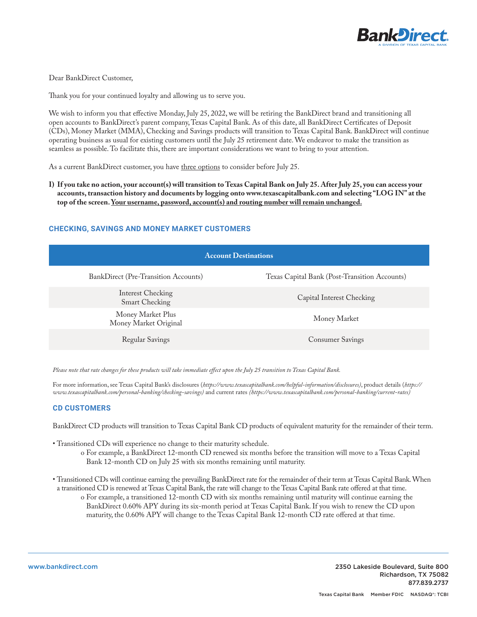

# Dear BankDirect Customer,

Thank you for your continued loyalty and allowing us to serve you.

We wish to inform you that effective Monday, July 25, 2022, we will be retiring the BankDirect brand and transitioning all open accounts to BankDirect's parent company, Texas Capital Bank. As of this date, all BankDirect Certificates of Deposit (CDs), Money Market (MMA), Checking and Savings products will transition to Texas Capital Bank. BankDirect will continue operating business as usual for existing customers until the July 25 retirement date. We endeavor to make the transition as seamless as possible. To facilitate this, there are important considerations we want to bring to your attention.

As a current BankDirect customer, you have three options to consider before July 25.

**I) If you take no action, your account(s) will transition to Texas Capital Bank on July 25. After July 25, you can access your accounts, transaction history and documents by logging onto www.texascapitalbank.com and selecting "LOG IN" at the top of the screen. Your username, password, account(s) and routing number will remain unchanged.**

# **CHECKING, SAVINGS AND MONEY MARKET CUSTOMERS**

| <b>Account Destinations</b>                 |                                               |
|---------------------------------------------|-----------------------------------------------|
| <b>BankDirect (Pre-Transition Accounts)</b> | Texas Capital Bank (Post-Transition Accounts) |
| Interest Checking<br><b>Smart Checking</b>  | Capital Interest Checking                     |
| Money Market Plus<br>Money Market Original  | Money Market                                  |
| <b>Regular Savings</b>                      | Consumer Savings                              |

*Please note that rate changes for these products will take immediate effect upon the July 25 transition to Texas Capital Bank.*

For more information, see Texas Capital Bank's disclosures (*https://www.texascapitalbank.com/helpful-information/disclosures)*, product details (*https:// www.texascapitalbank.com/personal-banking/checking-savings)* and current rates *(https://www.texascapitalbank.com/personal-banking/current-rates)*

## **CD CUSTOMERS**

BankDirect CD products will transition to Texas Capital Bank CD products of equivalent maturity for the remainder of their term.

- Transitioned CDs will experience no change to their maturity schedule.
	- o For example, a BankDirect 12-month CD renewed six months before the transition will move to a Texas Capital Bank 12-month CD on July 25 with six months remaining until maturity.
- Transitioned CDs will continue earning the prevailing BankDirect rate for the remainder of their term at Texas Capital Bank. When a transitioned CD is renewed at Texas Capital Bank, the rate will change to the Texas Capital Bank rate offered at that time.
	- o For example, a transitioned 12-month CD with six months remaining until maturity will continue earning the BankDirect 0.60% APY during its six-month period at Texas Capital Bank. If you wish to renew the CD upon maturity, the 0.60% APY will change to the Texas Capital Bank 12-month CD rate offered at that time.

www.bankdirect.com 2350 Lakeside Boulevard, Suite 800 Richardson, TX 75082 877.839.2737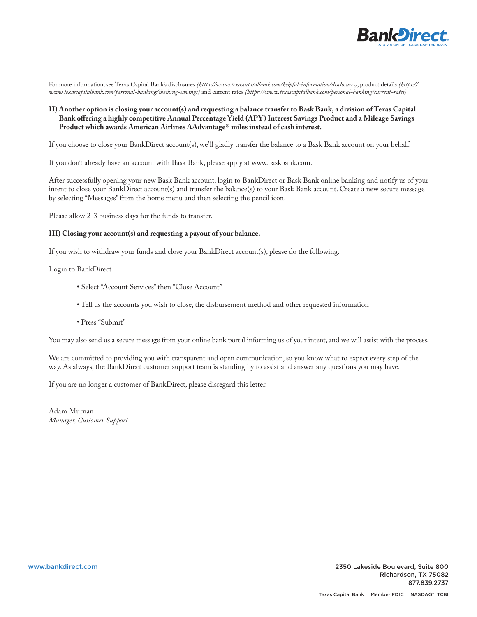

For more information, see Texas Capital Bank's disclosures *(https://www.texascapitalbank.com/helpful-information/disclosures)*, product details *(https:// www.texascapitalbank.com/personal-banking/checking-savings)* and current rates *(https://www.texascapitalbank.com/personal-banking/current-rates)*

# **II) Another option is closing your account(s) and requesting a balance transfer to Bask Bank, a division of Texas Capital Bank offering a highly competitive Annual Percentage Yield (APY) Interest Savings Product and a Mileage Savings Product which awards American Airlines AAdvantage® miles instead of cash interest.**

If you choose to close your BankDirect account(s), we'll gladly transfer the balance to a Bask Bank account on your behalf.

If you don't already have an account with Bask Bank, please apply at www.baskbank.com.

After successfully opening your new Bask Bank account, login to BankDirect or Bask Bank online banking and notify us of your intent to close your BankDirect account(s) and transfer the balance(s) to your Bask Bank account. Create a new secure message by selecting "Messages" from the home menu and then selecting the pencil icon.

Please allow 2-3 business days for the funds to transfer.

### **III) Closing your account(s) and requesting a payout of your balance.**

If you wish to withdraw your funds and close your BankDirect account(s), please do the following.

Login to BankDirect

- Select "Account Services" then "Close Account"
- Tell us the accounts you wish to close, the disbursement method and other requested information
- Press "Submit"

You may also send us a secure message from your online bank portal informing us of your intent, and we will assist with the process.

We are committed to providing you with transparent and open communication, so you know what to expect every step of the way. As always, the BankDirect customer support team is standing by to assist and answer any questions you may have.

If you are no longer a customer of BankDirect, please disregard this letter.

Adam Murnan *Manager, Customer Support*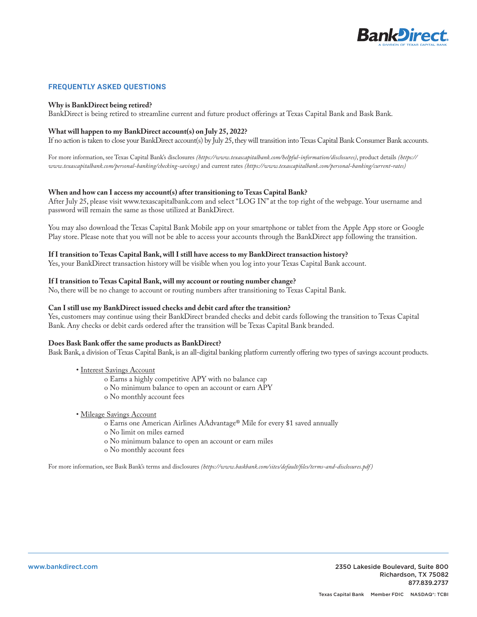

# **FREQUENTLY ASKED QUESTIONS**

## **Why is BankDirect being retired?**

BankDirect is being retired to streamline current and future product offerings at Texas Capital Bank and Bask Bank.

## **What will happen to my BankDirect account(s) on July 25, 2022?**

If no action is taken to close your BankDirect account(s) by July 25, they will transition into Texas Capital Bank Consumer Bank accounts.

For more information, see Texas Capital Bank's disclosures *(https://www.texascapitalbank.com/helpful-information/disclosures)*, product details *(https:// www.texascapitalbank.com/personal-banking/checking-savings)* and current rates *(https://www.texascapitalbank.com/personal-banking/current-rates)*

## **When and how can I access my account(s) after transitioning to Texas Capital Bank?**

After July 25, please visit www.texascapitalbank.com and select "LOG IN" at the top right of the webpage. Your username and password will remain the same as those utilized at BankDirect.

You may also download the Texas Capital Bank Mobile app on your smartphone or tablet from the Apple App store or Google Play store. Please note that you will not be able to access your accounts through the BankDirect app following the transition.

#### **If I transition to Texas Capital Bank, will I still have access to my BankDirect transaction history?**

Yes, your BankDirect transaction history will be visible when you log into your Texas Capital Bank account.

### **If I transition to Texas Capital Bank, will my account or routing number change?**

No, there will be no change to account or routing numbers after transitioning to Texas Capital Bank.

#### **Can I still use my BankDirect issued checks and debit card after the transition?**

Yes, customers may continue using their BankDirect branded checks and debit cards following the transition to Texas Capital Bank. Any checks or debit cards ordered after the transition will be Texas Capital Bank branded.

#### **Does Bask Bank offer the same products as BankDirect?**

Bask Bank, a division of Texas Capital Bank, is an all-digital banking platform currently offering two types of savings account products.

#### • Interest Savings Account

- o Earns a highly competitive APY with no balance cap
- o No minimum balance to open an account or earn APY
- o No monthly account fees

#### • Mileage Savings Account

- o Earns one American Airlines AAdvantage® Mile for every \$1 saved annually
- o No limit on miles earned
- o No minimum balance to open an account or earn miles
- o No monthly account fees

For more information, see Bask Bank's terms and disclosures *(https://www.baskbank.com/sites/default/files/terms-and-disclosures.pdf )*